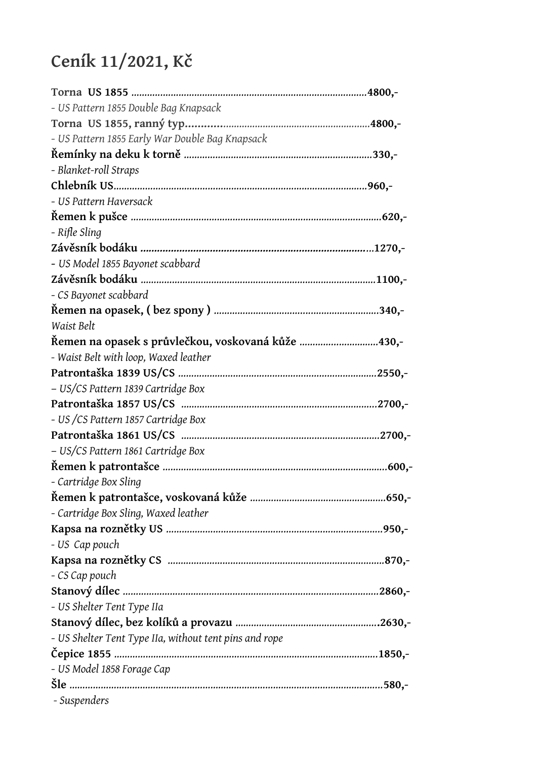## **Ceník 11/2021, Kč**

| - US Pattern 1855 Double Bag Knapsack                  |
|--------------------------------------------------------|
|                                                        |
| - US Pattern 1855 Early War Double Bag Knapsack        |
|                                                        |
| - Blanket-roll Straps                                  |
|                                                        |
| - US Pattern Haversack                                 |
|                                                        |
| - Rifle Sling                                          |
|                                                        |
| - US Model 1855 Bayonet scabbard                       |
|                                                        |
| - CS Bayonet scabbard                                  |
|                                                        |
| Waist Belt                                             |
| Řemen na opasek s průvlečkou, voskovaná kůže 430,-     |
| - Waist Belt with loop, Waxed leather                  |
|                                                        |
| - US/CS Pattern 1839 Cartridge Box                     |
|                                                        |
| - US / CS Pattern 1857 Cartridge Box                   |
|                                                        |
| - US/CS Pattern 1861 Cartridge Box                     |
|                                                        |
| - Cartridge Box Sling                                  |
|                                                        |
| - Cartridge Box Sling, Waxed leather                   |
|                                                        |
| - US Cap pouch                                         |
|                                                        |
| - CS Cap pouch                                         |
|                                                        |
| - US Shelter Tent Type IIa                             |
|                                                        |
| - US Shelter Tent Type IIa, without tent pins and rope |
|                                                        |
| - US Model 1858 Forage Cap                             |
|                                                        |
| - Suspenders                                           |